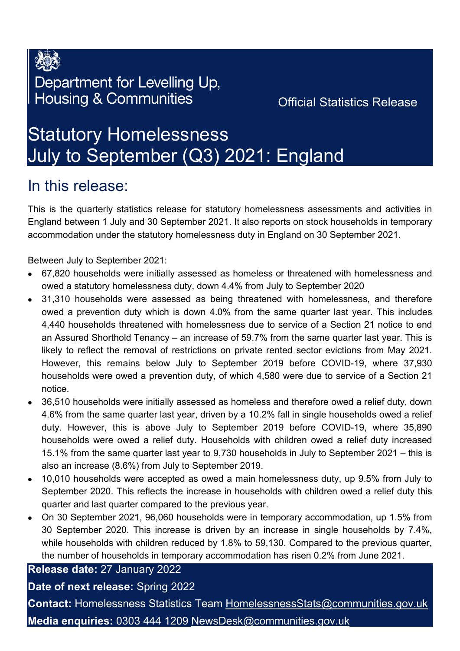

### Department for Levelling Up, **Housing & Communities**

### Official Statistics Release

# Statutory Homelessness July to September (Q3) 2021: England

### In this release:

This is the quarterly statistics release for statutory homelessness assessments and activities in England between 1 July and 30 September 2021. It also reports on stock households in temporary accommodation under the statutory homelessness duty in England on 30 September 2021.

Between July to September 2021:

- 67,820 households were initially assessed as homeless or threatened with homelessness and owed a statutory homelessness duty, down 4.4% from July to September 2020
- 31,310 households were assessed as being threatened with homelessness, and therefore owed a prevention duty which is down 4.0% from the same quarter last year. This includes 4,440 households threatened with homelessness due to service of a Section 21 notice to end an Assured Shorthold Tenancy – an increase of 59.7% from the same quarter last year. This is likely to reflect the removal of restrictions on private rented sector evictions from May 2021. However, this remains below July to September 2019 before COVID-19, where 37,930 households were owed a prevention duty, of which 4,580 were due to service of a Section 21 notice.
- 36,510 households were initially assessed as homeless and therefore owed a relief duty, down 4.6% from the same quarter last year, driven by a 10.2% fall in single households owed a relief duty. However, this is above July to September 2019 before COVID-19, where 35,890 households were owed a relief duty. Households with children owed a relief duty increased 15.1% from the same quarter last year to 9,730 households in July to September 2021 – this is also an increase (8.6%) from July to September 2019.
- 10,010 households were accepted as owed a main homelessness duty, up 9.5% from July to September 2020. This reflects the increase in households with children owed a relief duty this quarter and last quarter compared to the previous year.
- On 30 September 2021, 96,060 households were in temporary accommodation, up 1.5% from 30 September 2020. This increase is driven by an increase in single households by 7.4%, while households with children reduced by 1.8% to 59,130. Compared to the previous quarter, the number of households in temporary accommodation has risen 0.2% from June 2021.

**Release date:** 27 January 2022

### **Date of next release:** Spring 2022

**Contact:** Homelessness Statistics Team [HomelessnessStats@communities.gov.uk](mailto:HomelessnessStats@communities.gov.uk) **Media enquiries:** 0303 444 1209 [NewsDesk@communities.gov.uk](mailto:NewsDesk@communities.gov.uk)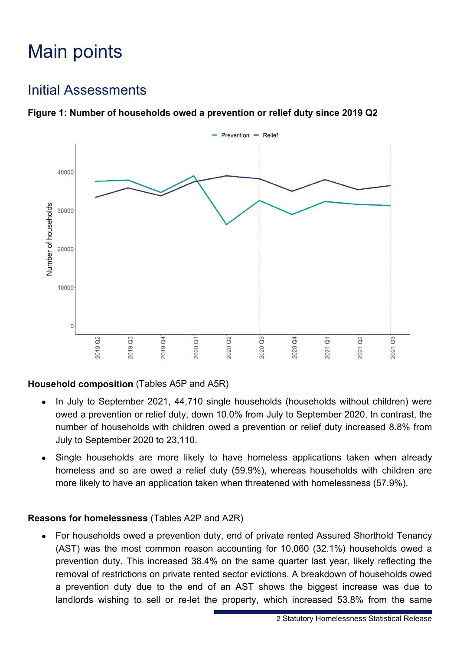# Main points

### Initial Assessments





### **Household composition** (Tables A5P and A5R)

- In July to September 2021, 44,710 single households (households without children) were owed a prevention or relief duty, down 10.0% from July to September 2020. In contrast, the number of households with children owed a prevention or relief duty increased 8.8% from July to September 2020 to 23,110.
- Single households are more likely to have homeless applications taken when already homeless and so are owed a relief duty (59.9%), whereas households with children are more likely to have an application taken when threatened with homelessness (57.9%).

#### **Reasons for homelessness** (Tables A2P and A2R)

• For households owed a prevention duty, end of private rented Assured Shorthold Tenancy (AST) was the most common reason accounting for 10,060 (32.1%) households owed a prevention duty. This increased 38.4% on the same quarter last year, likely reflecting the removal of restrictions on private rented sector evictions. A breakdown of households owed a prevention duty due to the end of an AST shows the biggest increase was due to landlords wishing to sell or re-let the property, which increased 53.8% from the same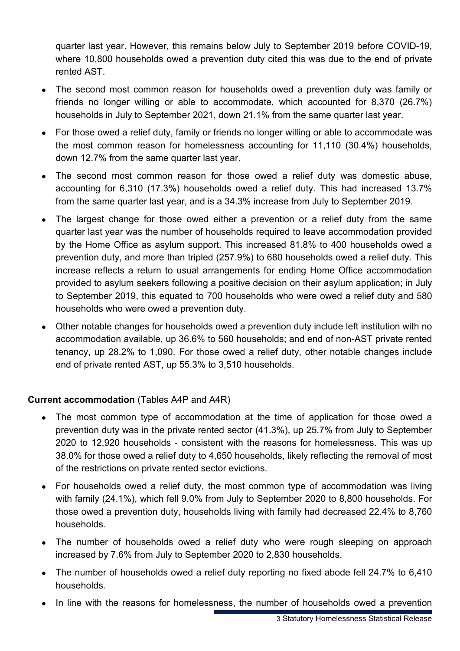quarter last year. However, this remains below July to September 2019 before COVID-19, where 10,800 households owed a prevention duty cited this was due to the end of private rented AST.

- The second most common reason for households owed a prevention duty was family or friends no longer willing or able to accommodate, which accounted for 8,370 (26.7%) households in July to September 2021, down 21.1% from the same quarter last year.
- For those owed a relief duty, family or friends no longer willing or able to accommodate was the most common reason for homelessness accounting for 11,110 (30.4%) households, down 12.7% from the same quarter last year.
- The second most common reason for those owed a relief duty was domestic abuse, accounting for 6,310 (17.3%) households owed a relief duty. This had increased 13.7% from the same quarter last year, and is a 34.3% increase from July to September 2019.
- The largest change for those owed either a prevention or a relief duty from the same quarter last year was the number of households required to leave accommodation provided by the Home Office as asylum support. This increased 81.8% to 400 households owed a prevention duty, and more than tripled (257.9%) to 680 households owed a relief duty. This increase reflects a return to usual arrangements for ending Home Office accommodation provided to asylum seekers following a positive decision on their asylum application; in July to September 2019, this equated to 700 households who were owed a relief duty and 580 households who were owed a prevention duty.
- Other notable changes for households owed a prevention duty include left institution with no accommodation available, up 36.6% to 560 households; and end of non-AST private rented tenancy, up 28.2% to 1,090. For those owed a relief duty, other notable changes include end of private rented AST, up 55.3% to 3,510 households.

### **Current accommodation** (Tables A4P and A4R)

- The most common type of accommodation at the time of application for those owed a prevention duty was in the private rented sector (41.3%), up 25.7% from July to September 2020 to 12,920 households - consistent with the reasons for homelessness. This was up 38.0% for those owed a relief duty to 4,650 households, likely reflecting the removal of most of the restrictions on private rented sector evictions.
- For households owed a relief duty, the most common type of accommodation was living with family (24.1%), which fell 9.0% from July to September 2020 to 8,800 households. For those owed a prevention duty, households living with family had decreased 22.4% to 8,760 households.
- The number of households owed a relief duty who were rough sleeping on approach increased by 7.6% from July to September 2020 to 2,830 households.
- The number of households owed a relief duty reporting no fixed abode fell 24.7% to 6,410 households.
- In line with the reasons for homelessness, the number of households owed a prevention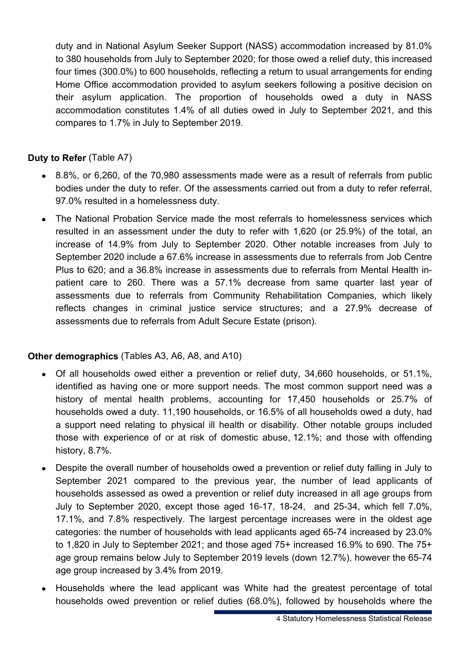duty and in National Asylum Seeker Support (NASS) accommodation increased by 81.0% to 380 households from July to September 2020; for those owed a relief duty, this increased four times (300.0%) to 600 households, reflecting a return to usual arrangements for ending Home Office accommodation provided to asylum seekers following a positive decision on their asylum application. The proportion of households owed a duty in NASS accommodation constitutes 1.4% of all duties owed in July to September 2021, and this compares to 1.7% in July to September 2019.

### **Duty to Refer** (Table A7)

- 8.8%, or 6,260, of the 70,980 assessments made were as a result of referrals from public bodies under the duty to refer. Of the assessments carried out from a duty to refer referral, 97.0% resulted in a homelessness duty.
- The National Probation Service made the most referrals to homelessness services which resulted in an assessment under the duty to refer with 1,620 (or 25.9%) of the total, an increase of 14.9% from July to September 2020. Other notable increases from July to September 2020 include a 67.6% increase in assessments due to referrals from Job Centre Plus to 620; and a 36.8% increase in assessments due to referrals from Mental Health inpatient care to 260. There was a 57.1% decrease from same quarter last year of assessments due to referrals from Community Rehabilitation Companies, which likely reflects changes in criminal justice service structures; and a 27.9% decrease of assessments due to referrals from Adult Secure Estate (prison).

### **Other demographics** (Tables A3, A6, A8, and A10)

- Of all households owed either a prevention or relief duty, 34,660 households, or 51.1%, identified as having one or more support needs. The most common support need was a history of mental health problems, accounting for 17,450 households or 25.7% of households owed a duty. 11,190 households, or 16.5% of all households owed a duty, had a support need relating to physical ill health or disability. Other notable groups included those with experience of or at risk of domestic abuse, 12.1%; and those with offending history, 8.7%.
- Despite the overall number of households owed a prevention or relief duty falling in July to September 2021 compared to the previous year, the number of lead applicants of households assessed as owed a prevention or relief duty increased in all age groups from July to September 2020, except those aged 16-17, 18-24, and 25-34, which fell 7.0%, 17.1%, and 7.8% respectively. The largest percentage increases were in the oldest age categories: the number of households with lead applicants aged 65-74 increased by 23.0% to 1,820 in July to September 2021; and those aged 75+ increased 16.9% to 690. The 75+ age group remains below July to September 2019 levels (down 12.7%), however the 65-74 age group increased by 3.4% from 2019.
- Households where the lead applicant was White had the greatest percentage of total households owed prevention or relief duties (68.0%), followed by households where the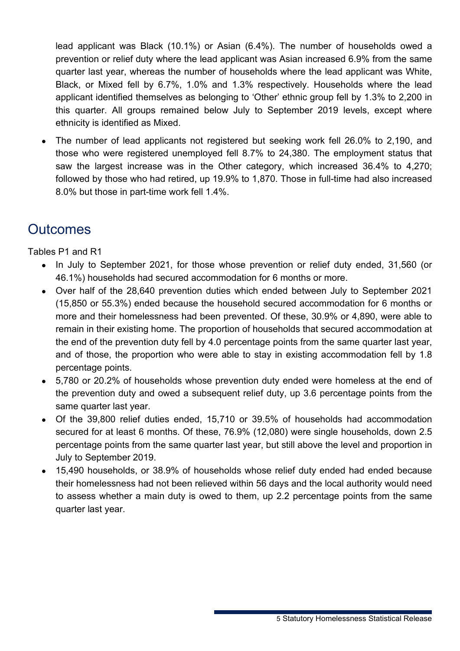lead applicant was Black (10.1%) or Asian (6.4%). The number of households owed a prevention or relief duty where the lead applicant was Asian increased 6.9% from the same quarter last year, whereas the number of households where the lead applicant was White, Black, or Mixed fell by 6.7%, 1.0% and 1.3% respectively. Households where the lead applicant identified themselves as belonging to 'Other' ethnic group fell by 1.3% to 2,200 in this quarter. All groups remained below July to September 2019 levels, except where ethnicity is identified as Mixed.

• The number of lead applicants not registered but seeking work fell 26.0% to 2,190, and those who were registered unemployed fell 8.7% to 24,380. The employment status that saw the largest increase was in the Other category, which increased 36.4% to 4,270; followed by those who had retired, up 19.9% to 1,870. Those in full-time had also increased 8.0% but those in part-time work fell 1.4%.

### **Outcomes**

Tables P1 and R1

- In July to September 2021, for those whose prevention or relief duty ended, 31,560 (or 46.1%) households had secured accommodation for 6 months or more.
- Over half of the 28,640 prevention duties which ended between July to September 2021 (15,850 or 55.3%) ended because the household secured accommodation for 6 months or more and their homelessness had been prevented. Of these, 30.9% or 4,890, were able to remain in their existing home. The proportion of households that secured accommodation at the end of the prevention duty fell by 4.0 percentage points from the same quarter last year, and of those, the proportion who were able to stay in existing accommodation fell by 1.8 percentage points.
- 5,780 or 20.2% of households whose prevention duty ended were homeless at the end of the prevention duty and owed a subsequent relief duty, up 3.6 percentage points from the same quarter last year.
- Of the 39,800 relief duties ended, 15,710 or 39.5% of households had accommodation secured for at least 6 months. Of these, 76.9% (12,080) were single households, down 2.5 percentage points from the same quarter last year, but still above the level and proportion in July to September 2019.
- 15,490 households, or 38.9% of households whose relief duty ended had ended because their homelessness had not been relieved within 56 days and the local authority would need to assess whether a main duty is owed to them, up 2.2 percentage points from the same quarter last year.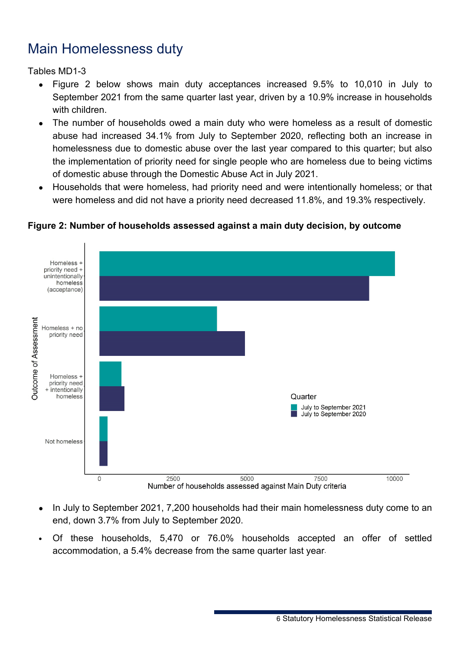### Main Homelessness duty

Tables MD1-3

- Figure 2 below shows main duty acceptances increased 9.5% to 10,010 in July to September 2021 from the same quarter last year, driven by a 10.9% increase in households with children.
- The number of households owed a main duty who were homeless as a result of domestic abuse had increased 34.1% from July to September 2020, reflecting both an increase in homelessness due to domestic abuse over the last year compared to this quarter; but also the implementation of priority need for single people who are homeless due to being victims of domestic abuse through the Domestic Abuse Act in July 2021.
- Households that were homeless, had priority need and were intentionally homeless; or that were homeless and did not have a priority need decreased 11.8%, and 19.3% respectively.



### **Figure 2: Number of households assessed against a main duty decision, by outcome**

- In July to September 2021, 7,200 households had their main homelessness duty come to an end, down 3.7% from July to September 2020.
- Of these households, 5,470 or 76.0% households accepted an offer of settled accommodation, a 5.4% decrease from the same quarter last year.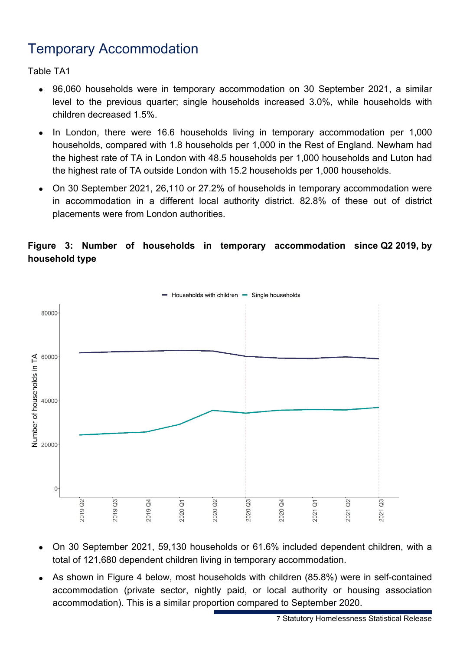### Temporary Accommodation

Table TA1

- 96,060 households were in temporary accommodation on 30 September 2021, a similar level to the previous quarter; single households increased 3.0%, while households with children decreased 1.5%.
- In London, there were 16.6 households living in temporary accommodation per 1,000 households, compared with 1.8 households per 1,000 in the Rest of England. Newham had the highest rate of TA in London with 48.5 households per 1,000 households and Luton had the highest rate of TA outside London with 15.2 households per 1,000 households.
- On 30 September 2021, 26,110 or 27.2% of households in temporary accommodation were in accommodation in a different local authority district. 82.8% of these out of district placements were from London authorities.

### **Figure 3: Number of households in temporary accommodation since Q2 2019, by household type**



- On 30 September 2021, 59,130 households or 61.6% included dependent children, with a total of 121,680 dependent children living in temporary accommodation.
- As shown in Figure 4 below, most households with children (85.8%) were in self-contained accommodation (private sector, nightly paid, or local authority or housing association accommodation). This is a similar proportion compared to September 2020.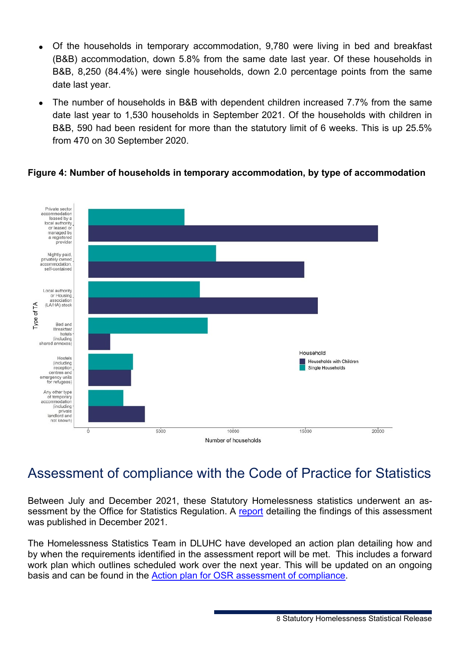- Of the households in temporary accommodation, 9,780 were living in bed and breakfast (B&B) accommodation, down 5.8% from the same date last year. Of these households in B&B, 8,250 (84.4%) were single households, down 2.0 percentage points from the same date last year.
- The number of households in B&B with dependent children increased 7.7% from the same date last year to 1,530 households in September 2021. Of the households with children in B&B, 590 had been resident for more than the statutory limit of 6 weeks. This is up 25.5% from 470 on 30 September 2020.

### **Figure 4: Number of households in temporary accommodation, by type of accommodation**



### Assessment of compliance with the Code of Practice for Statistics

Between July and December 2021, these Statutory Homelessness statistics underwent an assessment by the Office for Statistics Regulation. A [report](https://osr.statisticsauthority.gov.uk/publication/assessment-of-compliance-with-the-code-of-practice-for-statistics-statistics-on-statutory-homelessness-in-england/pages/1/) detailing the findings of this assessment was published in December 2021.

The Homelessness Statistics Team in DLUHC have developed an action plan detailing how and by when the requirements identified in the assessment report will be met. This includes a forward work plan which outlines scheduled work over the next year. This will be updated on an ongoing basis and can be found in the [Action plan for OSR assessment of compliance.](https://www.gov.uk/government/statistics/statutory-homelessness-in-england-july-to-september-2021)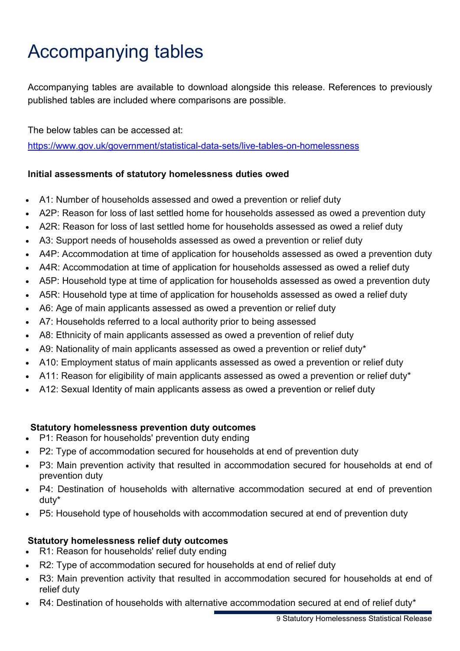# Accompanying tables

Accompanying tables are available to download alongside this release. References to previously published tables are included where comparisons are possible.

The below tables can be accessed at: <https://www.gov.uk/government/statistical-data-sets/live-tables-on-homelessness>

### **Initial assessments of statutory homelessness duties owed**

- A1: Number of households assessed and owed a prevention or relief duty
- A2P: Reason for loss of last settled home for households assessed as owed a prevention duty
- A2R: Reason for loss of last settled home for households assessed as owed a relief duty
- A3: Support needs of households assessed as owed a prevention or relief duty
- A4P: Accommodation at time of application for households assessed as owed a prevention duty
- A4R: Accommodation at time of application for households assessed as owed a relief duty
- A5P: Household type at time of application for households assessed as owed a prevention duty
- A5R: Household type at time of application for households assessed as owed a relief duty
- A6: Age of main applicants assessed as owed a prevention or relief duty
- A7: Households referred to a local authority prior to being assessed
- A8: Ethnicity of main applicants assessed as owed a prevention of relief duty
- A9: Nationality of main applicants assessed as owed a prevention or relief duty\*
- A10: Employment status of main applicants assessed as owed a prevention or relief duty
- A11: Reason for eligibility of main applicants assessed as owed a prevention or relief duty\*
- A12: Sexual Identity of main applicants assess as owed a prevention or relief duty

### **Statutory homelessness prevention duty outcomes**

- P1: Reason for households' prevention duty ending
- P2: Type of accommodation secured for households at end of prevention duty
- P3: Main prevention activity that resulted in accommodation secured for households at end of prevention duty
- P4: Destination of households with alternative accommodation secured at end of prevention duty\*
- P5: Household type of households with accommodation secured at end of prevention duty

### **Statutory homelessness relief duty outcomes**

- R1: Reason for households' relief duty ending
- R2: Type of accommodation secured for households at end of relief duty
- R3: Main prevention activity that resulted in accommodation secured for households at end of relief duty
- R4: Destination of households with alternative accommodation secured at end of relief duty\*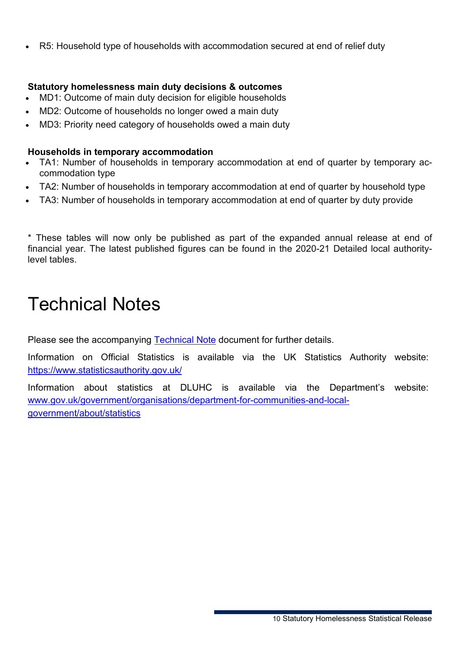• R5: Household type of households with accommodation secured at end of relief duty

#### **Statutory homelessness main duty decisions & outcomes**

- MD1: Outcome of main duty decision for eligible households
- MD2: Outcome of households no longer owed a main duty
- MD3: Priority need category of households owed a main duty

#### **Households in temporary accommodation**

- TA1: Number of households in temporary accommodation at end of quarter by temporary accommodation type
- TA2: Number of households in temporary accommodation at end of quarter by household type
- TA3: Number of households in temporary accommodation at end of quarter by duty provide

\* These tables will now only be published as part of the expanded annual release at end of financial year. The latest published figures can be found in the 2020-21 Detailed local authoritylevel tables.

## Technical Notes

Please see the accompanying [Technical Note](https://www.gov.uk/government/statistics/statutory-homelessness-in-england-july-to-september-2021) document for further details.

Information on Official Statistics is available via the UK Statistics Authority website: <https://www.statisticsauthority.gov.uk/>

Information about statistics at DLUHC is available via the Department's website: [www.gov.uk/government/organisations/department-for-communities-and-local](http://www.gov.uk/government/organisations/department-for-communities-and-local-government/about/statistics)[government/about/statistics](http://www.gov.uk/government/organisations/department-for-communities-and-local-government/about/statistics)